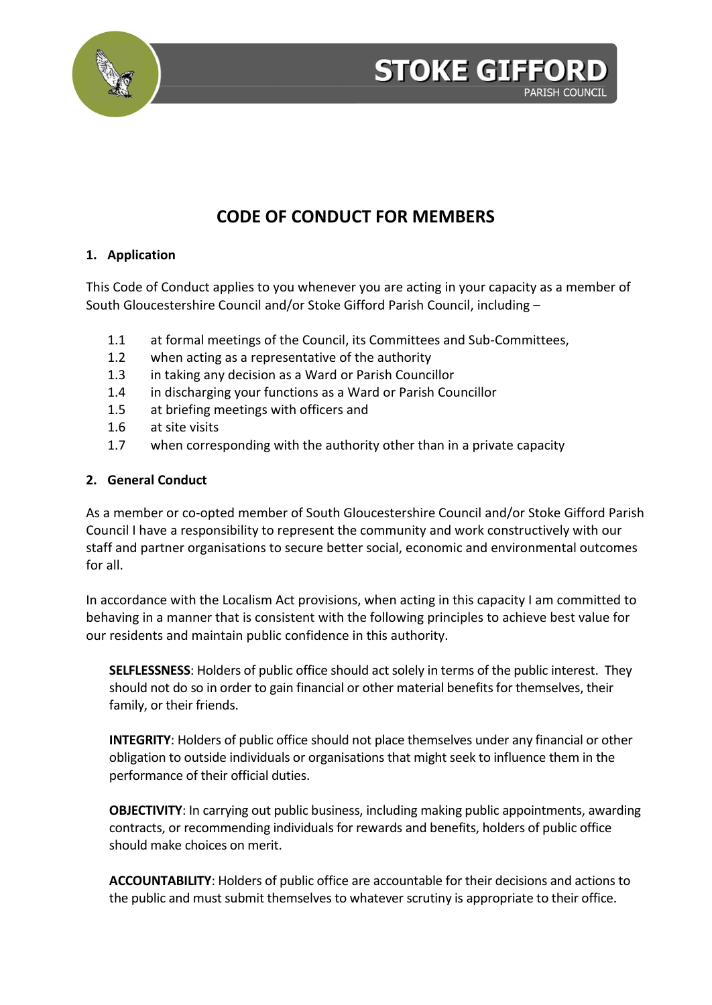

## **STOKE GIFFOR PARISH COUNCIL**

# **CODE OF CONDUCT FOR MEMBERS**

## **1. Application**

This Code of Conduct applies to you whenever you are acting in your capacity as a member of South Gloucestershire Council and/or Stoke Gifford Parish Council, including –

- 1.1 at formal meetings of the Council, its Committees and Sub-Committees,
- 1.2 when acting as a representative of the authority
- 1.3 in taking any decision as a Ward or Parish Councillor
- 1.4 in discharging your functions as a Ward or Parish Councillor
- 1.5 at briefing meetings with officers and
- 1.6 at site visits
- 1.7 when corresponding with the authority other than in a private capacity

## **2. General Conduct**

As a member or co-opted member of South Gloucestershire Council and/or Stoke Gifford Parish Council I have a responsibility to represent the community and work constructively with our staff and partner organisations to secure better social, economic and environmental outcomes for all.

In accordance with the Localism Act provisions, when acting in this capacity I am committed to behaving in a manner that is consistent with the following principles to achieve best value for our residents and maintain public confidence in this authority.

**SELFLESSNESS**: Holders of public office should act solely in terms of the public interest. They should not do so in order to gain financial or other material benefits for themselves, their family, or their friends.

**INTEGRITY**: Holders of public office should not place themselves under any financial or other obligation to outside individuals or organisations that might seek to influence them in the performance of their official duties.

**OBJECTIVITY**: In carrying out public business, including making public appointments, awarding contracts, or recommending individuals for rewards and benefits, holders of public office should make choices on merit.

**ACCOUNTABILITY**: Holders of public office are accountable for their decisions and actions to the public and must submit themselves to whatever scrutiny is appropriate to their office.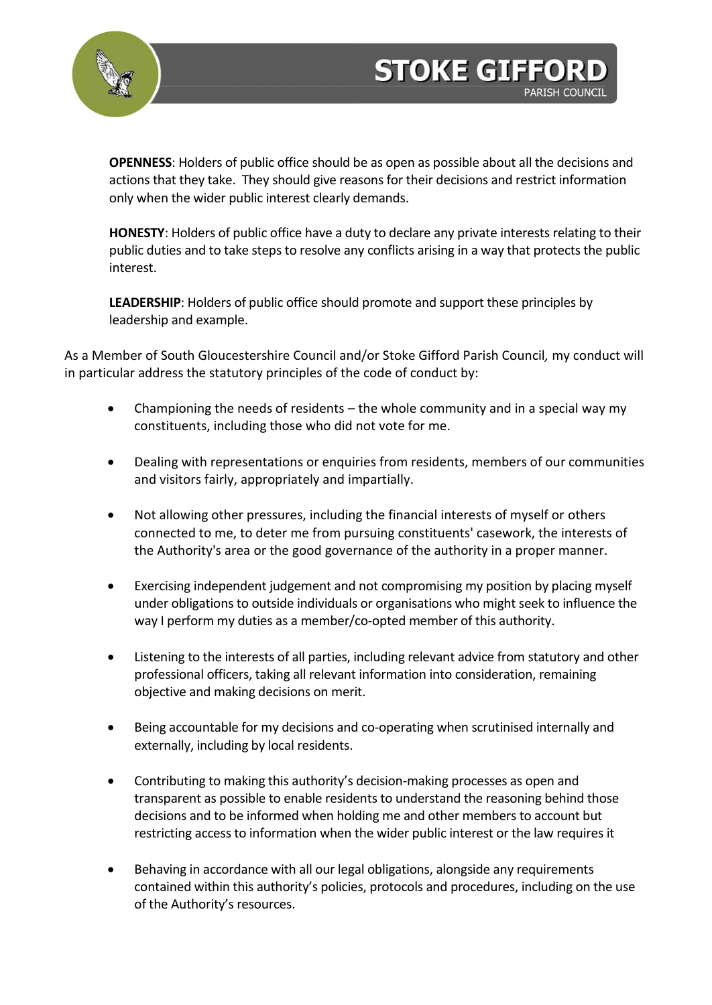

**OPENNESS**: Holders of public office should be as open as possible about all the decisions and actions that they take. They should give reasons for their decisions and restrict information only when the wider public interest clearly demands.

**STOKE GIFFOR** 

**PARISH COUNCIL** 

**HONESTY**: Holders of public office have a duty to declare any private interests relating to their public duties and to take steps to resolve any conflicts arising in a way that protects the public interest.

**LEADERSHIP**: Holders of public office should promote and support these principles by leadership and example.

As a Member of South Gloucestershire Council and/or Stoke Gifford Parish Council*,* my conduct will in particular address the statutory principles of the code of conduct by:

- Championing the needs of residents the whole community and in a special way my constituents, including those who did not vote for me.
- Dealing with representations or enquiries from residents, members of our communities and visitors fairly, appropriately and impartially.
- Not allowing other pressures, including the financial interests of myself or others connected to me, to deter me from pursuing constituents' casework, the interests of the Authority's area or the good governance of the authority in a proper manner.
- Exercising independent judgement and not compromising my position by placing myself under obligations to outside individuals or organisations who might seek to influence the way I perform my duties as a member/co-opted member of this authority.
- Listening to the interests of all parties, including relevant advice from statutory and other professional officers, taking all relevant information into consideration, remaining objective and making decisions on merit.
- Being accountable for my decisions and co-operating when scrutinised internally and externally, including by local residents.
- Contributing to making this authority's decision-making processes as open and transparent as possible to enable residents to understand the reasoning behind those decisions and to be informed when holding me and other members to account but restricting access to information when the wider public interest or the law requires it
- Behaving in accordance with all our legal obligations, alongside any requirements contained within this authority's policies, protocols and procedures, including on the use of the Authority's resources.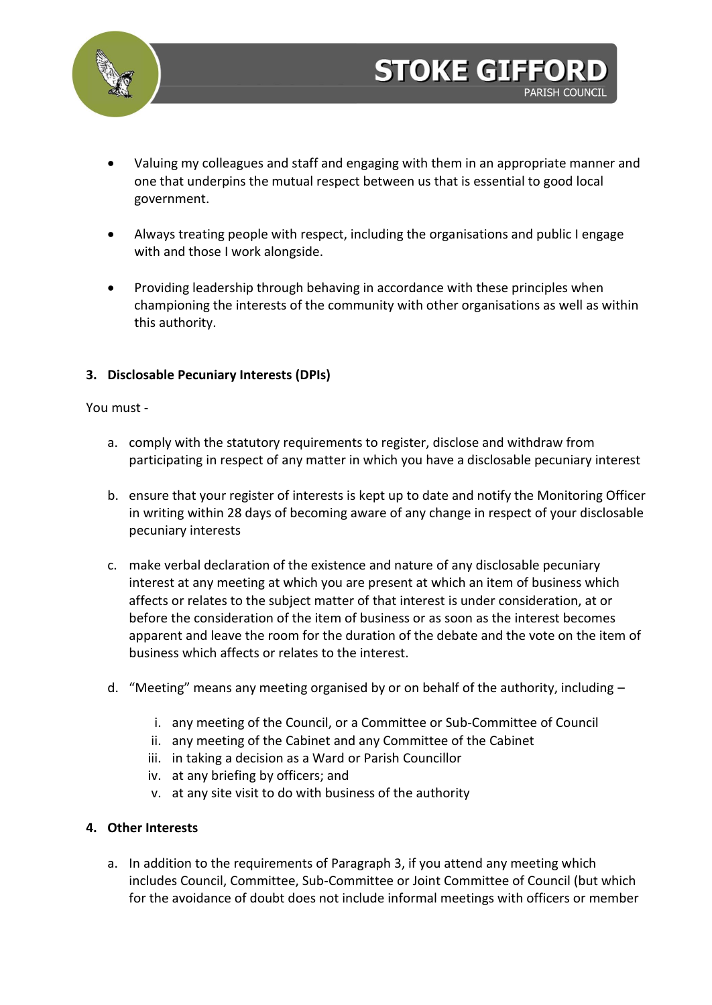

**STOKE GIFFOR** 

**PARISH COUNCIL** 

- Always treating people with respect, including the organisations and public I engage with and those I work alongside.
- Providing leadership through behaving in accordance with these principles when championing the interests of the community with other organisations as well as within this authority.

## **3. Disclosable Pecuniary Interests (DPIs)**

#### You must -

- a. comply with the statutory requirements to register, disclose and withdraw from participating in respect of any matter in which you have a disclosable pecuniary interest
- b. ensure that your register of interests is kept up to date and notify the Monitoring Officer in writing within 28 days of becoming aware of any change in respect of your disclosable pecuniary interests
- c. make verbal declaration of the existence and nature of any disclosable pecuniary interest at any meeting at which you are present at which an item of business which affects or relates to the subject matter of that interest is under consideration, at or before the consideration of the item of business or as soon as the interest becomes apparent and leave the room for the duration of the debate and the vote on the item of business which affects or relates to the interest.
- d. "Meeting" means any meeting organised by or on behalf of the authority, including
	- i. any meeting of the Council, or a Committee or Sub-Committee of Council
	- ii. any meeting of the Cabinet and any Committee of the Cabinet
	- iii. in taking a decision as a Ward or Parish Councillor
	- iv. at any briefing by officers; and
	- v. at any site visit to do with business of the authority

#### **4. Other Interests**

a. In addition to the requirements of Paragraph 3, if you attend any meeting which includes Council, Committee, Sub-Committee or Joint Committee of Council (but which for the avoidance of doubt does not include informal meetings with officers or member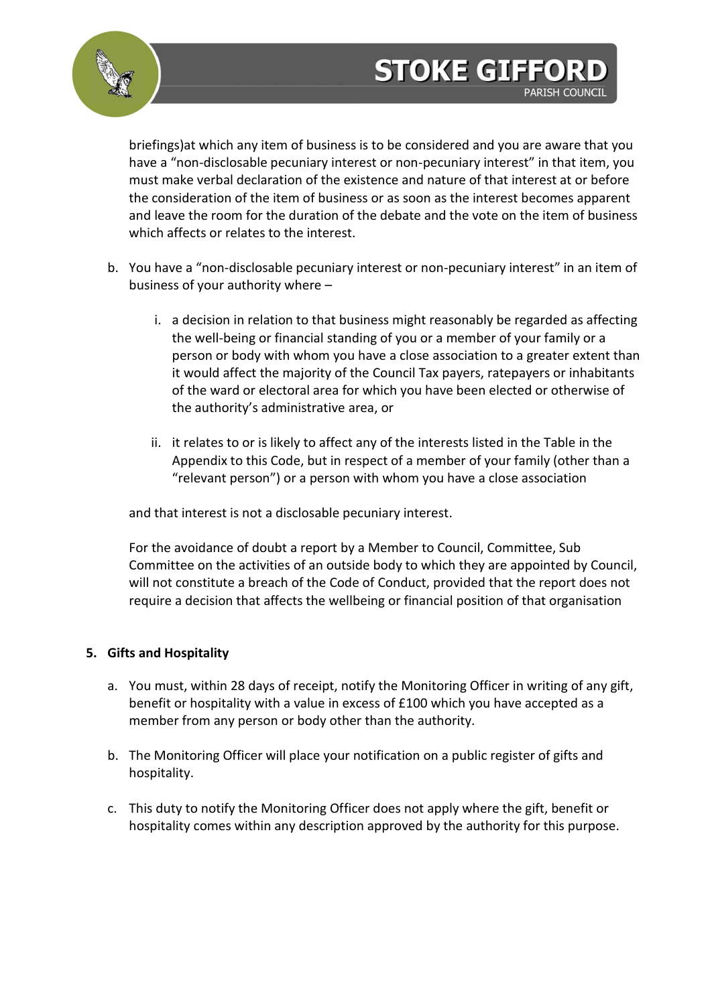



briefings)at which any item of business is to be considered and you are aware that you have a "non-disclosable pecuniary interest or non-pecuniary interest" in that item, you must make verbal declaration of the existence and nature of that interest at or before the consideration of the item of business or as soon as the interest becomes apparent and leave the room for the duration of the debate and the vote on the item of business which affects or relates to the interest.

- b. You have a "non-disclosable pecuniary interest or non-pecuniary interest" in an item of business of your authority where –
	- i. a decision in relation to that business might reasonably be regarded as affecting the well-being or financial standing of you or a member of your family or a person or body with whom you have a close association to a greater extent than it would affect the majority of the Council Tax payers, ratepayers or inhabitants of the ward or electoral area for which you have been elected or otherwise of the authority's administrative area, or
	- ii. it relates to or is likely to affect any of the interests listed in the Table in the Appendix to this Code, but in respect of a member of your family (other than a "relevant person") or a person with whom you have a close association

and that interest is not a disclosable pecuniary interest.

For the avoidance of doubt a report by a Member to Council, Committee, Sub Committee on the activities of an outside body to which they are appointed by Council, will not constitute a breach of the Code of Conduct, provided that the report does not require a decision that affects the wellbeing or financial position of that organisation

## **5. Gifts and Hospitality**

- a. You must, within 28 days of receipt, notify the Monitoring Officer in writing of any gift, benefit or hospitality with a value in excess of £100 which you have accepted as a member from any person or body other than the authority.
- b. The Monitoring Officer will place your notification on a public register of gifts and hospitality.
- c. This duty to notify the Monitoring Officer does not apply where the gift, benefit or hospitality comes within any description approved by the authority for this purpose.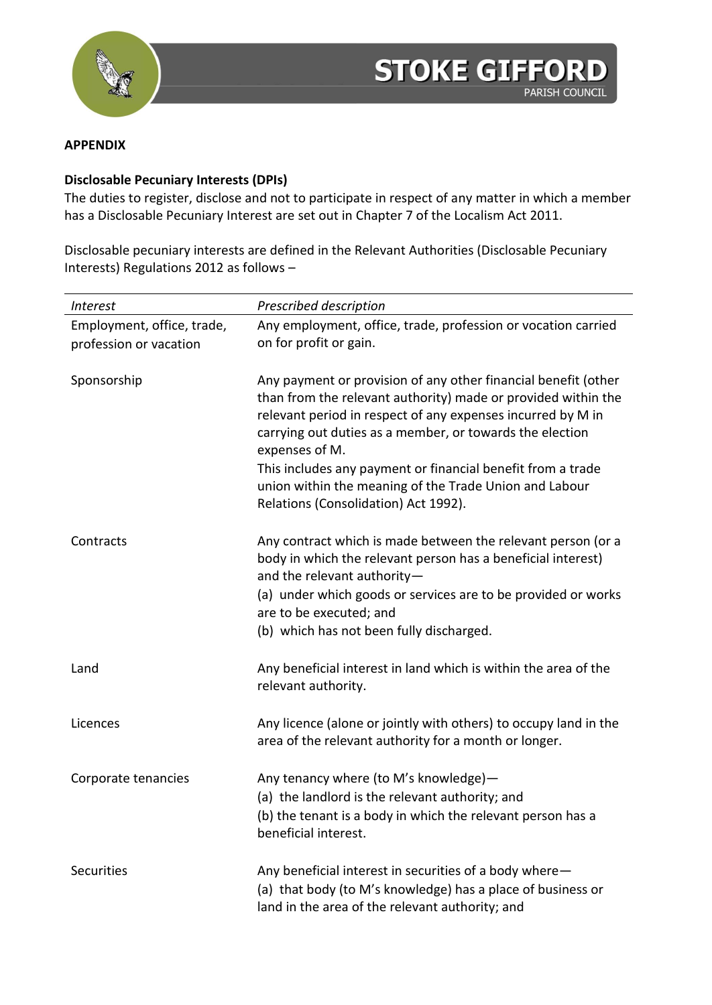

#### **APPENDIX**

## **Disclosable Pecuniary Interests (DPIs)**

The duties to register, disclose and not to participate in respect of any matter in which a member has a Disclosable Pecuniary Interest are set out in Chapter 7 of the Localism Act 2011.

Disclosable pecuniary interests are defined in the Relevant Authorities (Disclosable Pecuniary Interests) Regulations 2012 as follows –

| Interest                                             | Prescribed description                                                                                                                                                                                                                                                                                                                                                                                                                        |
|------------------------------------------------------|-----------------------------------------------------------------------------------------------------------------------------------------------------------------------------------------------------------------------------------------------------------------------------------------------------------------------------------------------------------------------------------------------------------------------------------------------|
| Employment, office, trade,<br>profession or vacation | Any employment, office, trade, profession or vocation carried<br>on for profit or gain.                                                                                                                                                                                                                                                                                                                                                       |
| Sponsorship                                          | Any payment or provision of any other financial benefit (other<br>than from the relevant authority) made or provided within the<br>relevant period in respect of any expenses incurred by M in<br>carrying out duties as a member, or towards the election<br>expenses of M.<br>This includes any payment or financial benefit from a trade<br>union within the meaning of the Trade Union and Labour<br>Relations (Consolidation) Act 1992). |
| Contracts                                            | Any contract which is made between the relevant person (or a<br>body in which the relevant person has a beneficial interest)<br>and the relevant authority-<br>(a) under which goods or services are to be provided or works<br>are to be executed; and<br>(b) which has not been fully discharged.                                                                                                                                           |
| Land                                                 | Any beneficial interest in land which is within the area of the<br>relevant authority.                                                                                                                                                                                                                                                                                                                                                        |
| Licences                                             | Any licence (alone or jointly with others) to occupy land in the<br>area of the relevant authority for a month or longer.                                                                                                                                                                                                                                                                                                                     |
| Corporate tenancies                                  | Any tenancy where (to M's knowledge)-<br>(a) the landlord is the relevant authority; and<br>(b) the tenant is a body in which the relevant person has a<br>beneficial interest.                                                                                                                                                                                                                                                               |
| <b>Securities</b>                                    | Any beneficial interest in securities of a body where-<br>(a) that body (to M's knowledge) has a place of business or<br>land in the area of the relevant authority; and                                                                                                                                                                                                                                                                      |